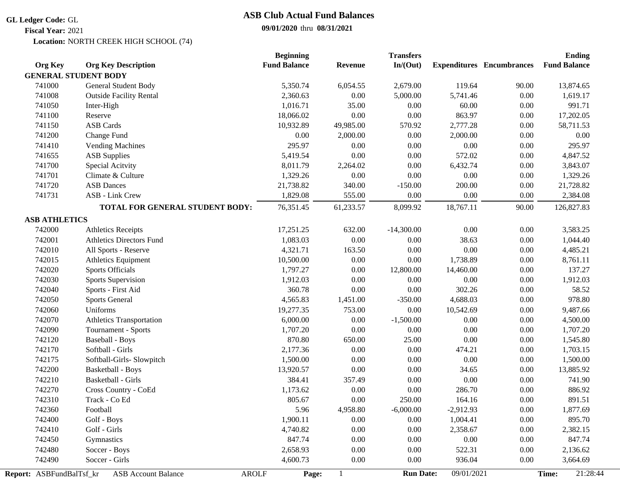#### **GL Ledger Code:** GL

**Fiscal Year:** 2021

# **ASB Club Actual Fund Balances**

### **09/01/2020** thru **08/31/2021**

**Location: NORTH CREEK HIGH SCHOOL (74)** 

|                          |                                            | <b>Beginning</b>    |                | <b>Transfers</b> |             |                                  | <b>Ending</b>       |  |
|--------------------------|--------------------------------------------|---------------------|----------------|------------------|-------------|----------------------------------|---------------------|--|
| <b>Org Key</b>           | <b>Org Key Description</b>                 | <b>Fund Balance</b> | <b>Revenue</b> | In/(Out)         |             | <b>Expenditures</b> Encumbrances | <b>Fund Balance</b> |  |
|                          | <b>GENERAL STUDENT BODY</b>                |                     |                |                  |             |                                  |                     |  |
| 741000                   | General Student Body                       | 5,350.74            | 6,054.55       | 2,679.00         | 119.64      | 90.00                            | 13,874.65           |  |
| 741008                   | <b>Outside Facility Rental</b>             | 2,360.63            | 0.00           | 5,000.00         | 5,741.46    | 0.00                             | 1,619.17            |  |
| 741050                   | Inter-High                                 | 1,016.71            | 35.00          | $0.00\,$         | 60.00       | $0.00\,$                         | 991.71              |  |
| 741100                   | Reserve                                    | 18,066.02           | 0.00           | 0.00             | 863.97      | 0.00                             | 17,202.05           |  |
| 741150                   | <b>ASB Cards</b>                           | 10,932.89           | 49,985.00      | 570.92           | 2,777.28    | $0.00\,$                         | 58,711.53           |  |
| 741200                   | Change Fund                                | 0.00                | 2,000.00       | $0.00\,$         | 2,000.00    | $0.00\,$                         | 0.00                |  |
| 741410                   | <b>Vending Machines</b>                    | 295.97              | 0.00           | $0.00\,$         | $0.00\,$    | $0.00\,$                         | 295.97              |  |
| 741655                   | <b>ASB Supplies</b>                        | 5,419.54            | 0.00           | 0.00             | 572.02      | 0.00                             | 4,847.52            |  |
| 741700                   | Special Acitvity                           | 8,011.79            | 2,264.02       | 0.00             | 6,432.74    | 0.00                             | 3,843.07            |  |
| 741701                   | Climate & Culture                          | 1,329.26            | 0.00           | $0.00\,$         | 0.00        | $0.00\,$                         | 1,329.26            |  |
| 741720                   | <b>ASB</b> Dances                          | 21,738.82           | 340.00         | $-150.00$        | 200.00      | 0.00                             | 21,728.82           |  |
| 741731                   | ASB - Link Crew                            | 1,829.08            | 555.00         | 0.00             | 0.00        | 0.00                             | 2,384.08            |  |
|                          | TOTAL FOR GENERAL STUDENT BODY:            | 76,351.45           | 61,233.57      | 8,099.92         | 18,767.11   | 90.00                            | 126,827.83          |  |
| <b>ASB ATHLETICS</b>     |                                            |                     |                |                  |             |                                  |                     |  |
| 742000                   | <b>Athletics Receipts</b>                  | 17,251.25           | 632.00         | $-14,300.00$     | 0.00        | 0.00                             | 3,583.25            |  |
| 742001                   | <b>Athletics Directors Fund</b>            | 1,083.03            | $0.00\,$       | 0.00             | 38.63       | $0.00\,$                         | 1,044.40            |  |
| 742010                   | All Sports - Reserve                       | 4,321.71            | 163.50         | $0.00\,$         | $0.00\,$    | 0.00                             | 4,485.21            |  |
| 742015                   | Athletics Equipment                        | 10,500.00           | 0.00           | $0.00\,$         | 1,738.89    | $0.00\,$                         | 8,761.11            |  |
| 742020                   | <b>Sports Officials</b>                    | 1,797.27            | 0.00           | 12,800.00        | 14,460.00   | $0.00\,$                         | 137.27              |  |
| 742030                   | <b>Sports Supervision</b>                  | 1,912.03            | 0.00           | 0.00             | 0.00        | 0.00                             | 1,912.03            |  |
| 742040                   | Sports - First Aid                         | 360.78              | 0.00           | 0.00             | 302.26      | $0.00\,$                         | 58.52               |  |
| 742050                   | <b>Sports General</b>                      | 4,565.83            | 1,451.00       | $-350.00$        | 4,688.03    | $0.00\,$                         | 978.80              |  |
| 742060                   | Uniforms                                   | 19,277.35           | 753.00         | 0.00             | 10,542.69   | $0.00\,$                         | 9,487.66            |  |
| 742070                   | Athletics Transportation                   | 6,000.00            | $0.00\,$       | $-1,500.00$      | $0.00\,$    | $0.00\,$                         | 4,500.00            |  |
| 742090                   | Tournament - Sports                        | 1,707.20            | $0.00\,$       | $0.00\,$         | $0.00\,$    | $0.00\,$                         | 1,707.20            |  |
| 742120                   | <b>Baseball - Boys</b>                     | 870.80              | 650.00         | 25.00            | $0.00\,$    | $0.00\,$                         | 1,545.80            |  |
| 742170                   | Softball - Girls                           | 2,177.36            | 0.00           | $0.00\,$         | 474.21      | 0.00                             | 1,703.15            |  |
| 742175                   | Softball-Girls- Slowpitch                  | 1,500.00            | 0.00           | $0.00\,$         | 0.00        | 0.00                             | 1,500.00            |  |
| 742200                   | <b>Basketball - Boys</b>                   | 13,920.57           | 0.00           | 0.00             | 34.65       | 0.00                             | 13,885.92           |  |
| 742210                   | Basketball - Girls                         | 384.41              | 357.49         | $0.00\,$         | 0.00        | $0.00\,$                         | 741.90              |  |
| 742270                   | Cross Country - CoEd                       | 1,173.62            | 0.00           | $0.00\,$         | 286.70      | $0.00\,$                         | 886.92              |  |
| 742310                   | Track - Co Ed                              | 805.67              | 0.00           | 250.00           | 164.16      | 0.00                             | 891.51              |  |
| 742360                   | Football                                   | 5.96                | 4,958.80       | $-6,000.00$      | $-2,912.93$ | 0.00                             | 1,877.69            |  |
| 742400                   | Golf - Boys                                | 1,900.11            | 0.00           | $0.00\,$         | 1,004.41    | 0.00                             | 895.70              |  |
| 742410                   | Golf - Girls                               | 4,740.82            | $0.00\,$       | $0.00\,$         | 2,358.67    | $0.00\,$                         | 2,382.15            |  |
| 742450                   | Gymnastics                                 | 847.74              | 0.00           | 0.00             | 0.00        | 0.00                             | 847.74              |  |
| 742480                   | Soccer - Boys                              | 2,658.93            | 0.00           | 0.00             | 522.31      | 0.00                             | 2,136.62            |  |
| 742490                   | Soccer - Girls                             | 4,600.73            | 0.00           | $0.00\,$         | 936.04      | 0.00                             | 3,664.69            |  |
| Report: ASBFundBalTsf kr | <b>ASB Account Balance</b><br><b>AROLF</b> | Page:               |                | <b>Run Date:</b> | 09/01/2021  |                                  | 21:28:44<br>Time:   |  |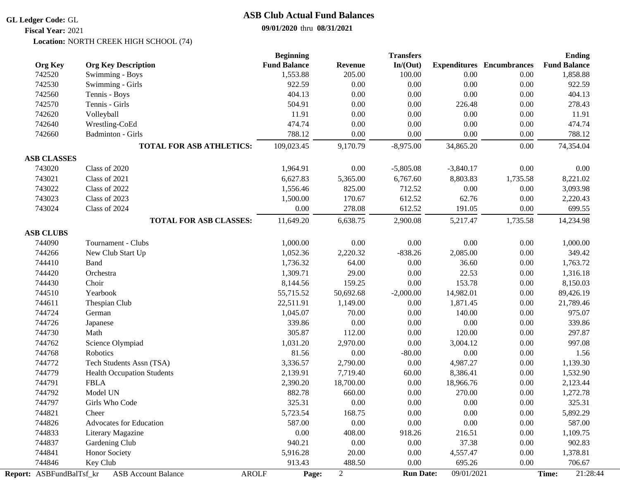#### **GL Ledger Code:** GL

**Fiscal Year:** 2021

# **ASB Club Actual Fund Balances**

### **09/01/2020** thru **08/31/2021**

**Location: NORTH CREEK HIGH SCHOOL (74)** 

|                                              |                                                         | <b>Beginning</b>                            |                                   | <b>Transfers</b>                 |                                  |                                  | <b>Ending</b>                         |
|----------------------------------------------|---------------------------------------------------------|---------------------------------------------|-----------------------------------|----------------------------------|----------------------------------|----------------------------------|---------------------------------------|
| <b>Org Key</b>                               | <b>Org Key Description</b>                              | <b>Fund Balance</b>                         | <b>Revenue</b>                    | In/(Out)                         |                                  | <b>Expenditures</b> Encumbrances | <b>Fund Balance</b>                   |
| 742520                                       | Swimming - Boys                                         | 1,553.88                                    | 205.00                            | 100.00                           | 0.00                             | 0.00                             | 1,858.88                              |
| 742530                                       | Swimming - Girls                                        | 922.59                                      | 0.00                              | 0.00                             | $0.00\,$                         | 0.00                             | 922.59                                |
| 742560                                       | Tennis - Boys                                           | 404.13                                      | $0.00\,$                          | $0.00\,$                         | $0.00\,$                         | 0.00                             | 404.13                                |
| 742570                                       | Tennis - Girls                                          | 504.91                                      | 0.00                              | $0.00\,$                         | 226.48                           | $0.00\,$                         | 278.43                                |
| 742620                                       | Volleyball                                              | 11.91                                       | 0.00                              | 0.00                             | 0.00                             | 0.00                             | 11.91                                 |
| 742640                                       | Wrestling-CoEd                                          | 474.74                                      | 0.00                              | 0.00                             | 0.00                             | 0.00                             | 474.74                                |
| 742660                                       | <b>Badminton - Girls</b>                                | 788.12                                      | 0.00                              | 0.00                             | $0.00\,$                         | $0.00\,$                         | 788.12                                |
|                                              | <b>TOTAL FOR ASB ATHLETICS:</b>                         | 109,023.45                                  | 9,170.79                          | $-8,975.00$                      | 34,865.20                        | 0.00                             | 74,354.04                             |
| <b>ASB CLASSES</b>                           |                                                         |                                             |                                   |                                  |                                  |                                  |                                       |
| 743020                                       | Class of 2020                                           | 1,964.91                                    | 0.00                              | $-5,805.08$                      | $-3,840.17$                      | $0.00\,$                         | 0.00                                  |
| 743021                                       | Class of 2021                                           | 6,627.83                                    | 5,365.00                          | 6,767.60                         | 8,803.83                         | 1,735.58                         | 8,221.02                              |
| 743022                                       | Class of 2022                                           | 1,556.46                                    | 825.00                            | 712.52                           | 0.00                             | 0.00                             | 3,093.98                              |
| 743023                                       | Class of 2023                                           | 1,500.00                                    | 170.67                            | 612.52                           | 62.76                            | 0.00                             | 2,220.43                              |
| 743024                                       | Class of 2024                                           | 0.00                                        | 278.08                            | 612.52                           | 191.05                           | 0.00                             | 699.55                                |
|                                              | <b>TOTAL FOR ASB CLASSES:</b>                           | 11,649.20                                   | 6,638.75                          | 2,900.08                         | 5,217.47                         | 1,735.58                         | 14,234.98                             |
| <b>ASB CLUBS</b>                             |                                                         |                                             |                                   |                                  |                                  |                                  |                                       |
| 744090                                       | Tournament - Clubs                                      | 1,000.00                                    | 0.00                              | $0.00\,$                         | 0.00                             | 0.00                             | 1,000.00                              |
| 744266                                       | New Club Start Up                                       | 1,052.36                                    | 2,220.32                          | $-838.26$                        | 2,085.00                         | 0.00                             | 349.42                                |
| 744410                                       | Band                                                    | 1,736.32                                    | 64.00                             | 0.00                             | 36.60                            | 0.00                             | 1,763.72                              |
| 744420                                       | Orchestra                                               | 1,309.71                                    | 29.00                             | 0.00                             | 22.53                            | 0.00                             | 1,316.18                              |
| 744430                                       | Choir                                                   | 8,144.56                                    | 159.25                            | 0.00                             | 153.78                           | 0.00                             | 8,150.03                              |
| 744510                                       | Yearbook                                                | 55,715.52                                   | 50,692.68                         | $-2,000.00$                      | 14,982.01                        | 0.00                             | 89,426.19                             |
| 744611                                       | Thespian Club                                           | 22,511.91                                   | 1,149.00                          | 0.00                             | 1,871.45                         | 0.00                             | 21,789.46                             |
| 744724                                       | German                                                  | 1,045.07                                    | 70.00                             | 0.00                             | 140.00                           | $0.00\,$                         | 975.07                                |
| 744726                                       | Japanese                                                | 339.86                                      | 0.00                              | $0.00\,$                         | $0.00\,$                         | $0.00\,$                         | 339.86                                |
| 744730                                       | Math                                                    | 305.87                                      | 112.00                            | 0.00                             | 120.00                           | 0.00                             | 297.87                                |
| 744762                                       | Science Olympiad                                        | 1,031.20                                    | 2,970.00                          | 0.00                             | 3,004.12                         | 0.00                             | 997.08                                |
| 744768                                       | Robotics                                                | 81.56                                       | 0.00                              | $-80.00$                         | $0.00\,$                         | 0.00                             | 1.56                                  |
| 744772                                       | Tech Students Assn (TSA)                                | 3,336.57                                    | 2,790.00                          | 0.00                             | 4,987.27                         | 0.00                             | 1,139.30                              |
| 744779                                       | <b>Health Occupation Students</b>                       | 2,139.91                                    | 7,719.40                          | 60.00                            | 8,386.41                         | 0.00                             | 1,532.90                              |
| 744791                                       | <b>FBLA</b>                                             | 2,390.20                                    | 18,700.00                         | 0.00                             | 18,966.76                        | 0.00                             | 2,123.44                              |
| 744792                                       | Model UN                                                | 882.78                                      | 660.00                            | 0.00                             | 270.00                           | $0.00\,$                         | 1,272.78                              |
| 744797                                       | Girls Who Code                                          | 325.31                                      | 0.00                              | 0.00                             | $0.00\,$                         | $0.00\,$                         | 325.31                                |
| 744821                                       | Cheer                                                   | 5,723.54                                    | 168.75                            | 0.00                             | 0.00                             | 0.00                             | 5,892.29                              |
| 744826                                       | Advocates for Education                                 | 587.00                                      | 0.00                              | 0.00                             | $0.00\,$                         | 0.00                             | 587.00                                |
| 744833                                       | Literary Magazine                                       | 0.00                                        | 408.00                            | 918.26                           | 216.51                           | 0.00                             | 1,109.75                              |
| 744837                                       | Gardening Club                                          | 940.21                                      | 0.00                              | 0.00                             | 37.38                            |                                  |                                       |
|                                              |                                                         |                                             |                                   |                                  |                                  |                                  |                                       |
|                                              |                                                         |                                             |                                   |                                  |                                  |                                  |                                       |
|                                              |                                                         |                                             |                                   |                                  |                                  |                                  | 21:28:44                              |
| 744841<br>744846<br>Report: ASBFundBalTsf_kr | Honor Society<br>Key Club<br><b>ASB Account Balance</b> | 5,916.28<br>913.43<br><b>AROLF</b><br>Page: | 20.00<br>488.50<br>$\overline{2}$ | 0.00<br>0.00<br><b>Run Date:</b> | 4,557.47<br>695.26<br>09/01/2021 | 0.00<br>0.00<br>0.00             | 902.83<br>1,378.81<br>706.67<br>Time: |